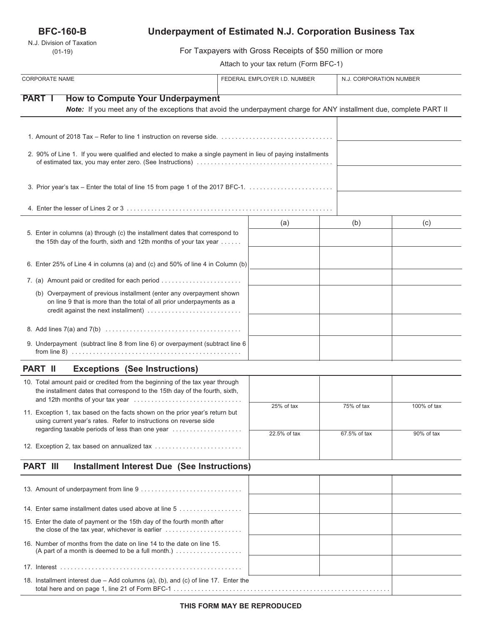## **BFC-160-B**

N.J. Division of Taxation (01-19)

# **Underpayment of Estimated N.J. Corporation Business Tax**

For Taxpayers with Gross Receipts of \$50 million or more

Attach to your tax return (Form BFC-1)

| <b>CORPORATE NAME</b>                                                                                                                                                                 | FEDERAL EMPLOYER I.D. NUMBER |              | N.J. CORPORATION NUMBER |  |
|---------------------------------------------------------------------------------------------------------------------------------------------------------------------------------------|------------------------------|--------------|-------------------------|--|
| <b>PART I</b><br><b>How to Compute Your Underpayment</b>                                                                                                                              |                              |              |                         |  |
| Note: If you meet any of the exceptions that avoid the underpayment charge for ANY installment due, complete PART II                                                                  |                              |              |                         |  |
|                                                                                                                                                                                       |                              |              |                         |  |
| 2. 90% of Line 1. If you were qualified and elected to make a single payment in lieu of paying installments                                                                           |                              |              |                         |  |
|                                                                                                                                                                                       |                              |              |                         |  |
|                                                                                                                                                                                       |                              |              |                         |  |
| 5. Enter in columns (a) through (c) the installment dates that correspond to<br>the 15th day of the fourth, sixth and 12th months of your tax year                                    | (a)                          | (b)          | (c)                     |  |
| 6. Enter 25% of Line 4 in columns (a) and (c) and 50% of line 4 in Column (b)                                                                                                         |                              |              |                         |  |
| 7. (a) Amount paid or credited for each period                                                                                                                                        |                              |              |                         |  |
| (b) Overpayment of previous installment (enter any overpayment shown<br>on line 9 that is more than the total of all prior underpayments as a<br>credit against the next installment) |                              |              |                         |  |
|                                                                                                                                                                                       |                              |              |                         |  |
| 9. Underpayment (subtract line 8 from line 6) or overpayment (subtract line 6                                                                                                         |                              |              |                         |  |
| <b>Exceptions (See Instructions)</b><br>PART II                                                                                                                                       |                              |              |                         |  |
| 10. Total amount paid or credited from the beginning of the tax year through<br>the installment dates that correspond to the 15th day of the fourth, sixth,                           |                              |              |                         |  |
| 11. Exception 1, tax based on the facts shown on the prior year's return but<br>using current year's rates. Refer to instructions on reverse side                                     | 25% of tax                   | 75% of tax   | 100% of tax             |  |
| regarding taxable periods of less than one year                                                                                                                                       | 22.5% of tax                 | 67.5% of tax | 90% of tax              |  |
| 12. Exception 2, tax based on annualized tax                                                                                                                                          |                              |              |                         |  |
| <b>PART III</b><br><b>Installment Interest Due (See Instructions)</b>                                                                                                                 |                              |              |                         |  |
|                                                                                                                                                                                       |                              |              |                         |  |
| 14. Enter same installment dates used above at line 5                                                                                                                                 |                              |              |                         |  |
| 15. Enter the date of payment or the 15th day of the fourth month after                                                                                                               |                              |              |                         |  |
| 16. Number of months from the date on line 14 to the date on line 15.<br>(A part of a month is deemed to be a full month.) $\ldots$                                                   |                              |              |                         |  |
|                                                                                                                                                                                       |                              |              |                         |  |
| 18. Installment interest due - Add columns (a), (b), and (c) of line 17. Enter the                                                                                                    |                              |              |                         |  |

total here and on page 1, line 21 of Form BFC-1 . . . . . . . . . . . . . . . . . . . . . . . . . . . . . . . . . . . . . . . . . . . . . . . . . . . . . . . . . . . . . .